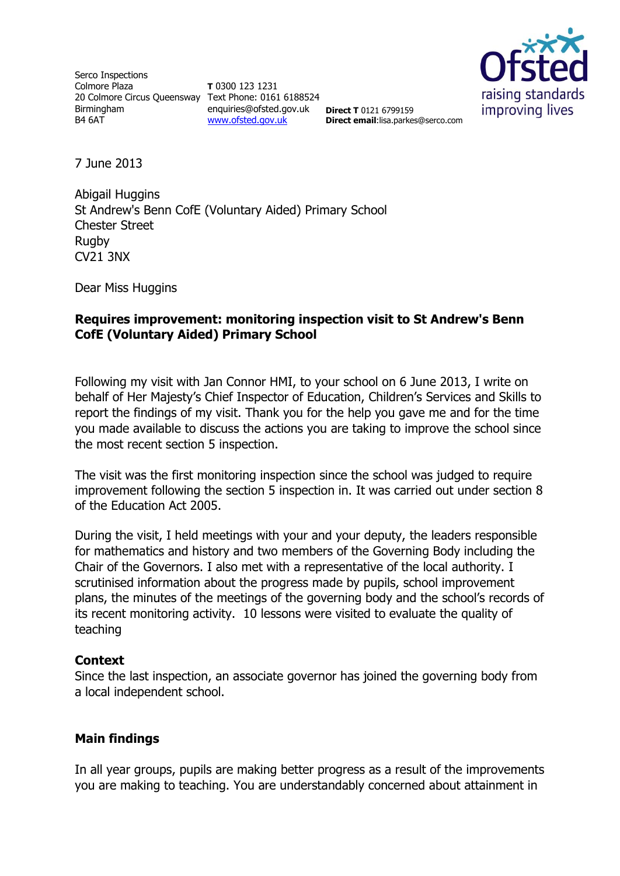Serco Inspections Colmore Plaza 20 Colmore Circus Queensway Text Phone: 0161 6188524 Birmingham B4 6AT

**T** 0300 123 1231 enquiries@ofsted.gov.uk **Direct T** 0121 6799159 [www.ofsted.gov.uk](http://www.ofsted.gov.uk/)



**Direct email**:lisa.parkes@serco.com

7 June 2013

Abigail Huggins St Andrew's Benn CofE (Voluntary Aided) Primary School Chester Street Rugby CV21 3NX

Dear Miss Huggins

# **Requires improvement: monitoring inspection visit to St Andrew's Benn CofE (Voluntary Aided) Primary School**

Following my visit with Jan Connor HMI, to your school on 6 June 2013, I write on behalf of Her Majesty's Chief Inspector of Education, Children's Services and Skills to report the findings of my visit. Thank you for the help you gave me and for the time you made available to discuss the actions you are taking to improve the school since the most recent section 5 inspection.

The visit was the first monitoring inspection since the school was judged to require improvement following the section 5 inspection in. It was carried out under section 8 of the Education Act 2005.

During the visit, I held meetings with your and your deputy, the leaders responsible for mathematics and history and two members of the Governing Body including the Chair of the Governors. I also met with a representative of the local authority. I scrutinised information about the progress made by pupils, school improvement plans, the minutes of the meetings of the governing body and the school's records of its recent monitoring activity. 10 lessons were visited to evaluate the quality of teaching

#### **Context**

Since the last inspection, an associate governor has joined the governing body from a local independent school.

## **Main findings**

In all year groups, pupils are making better progress as a result of the improvements you are making to teaching. You are understandably concerned about attainment in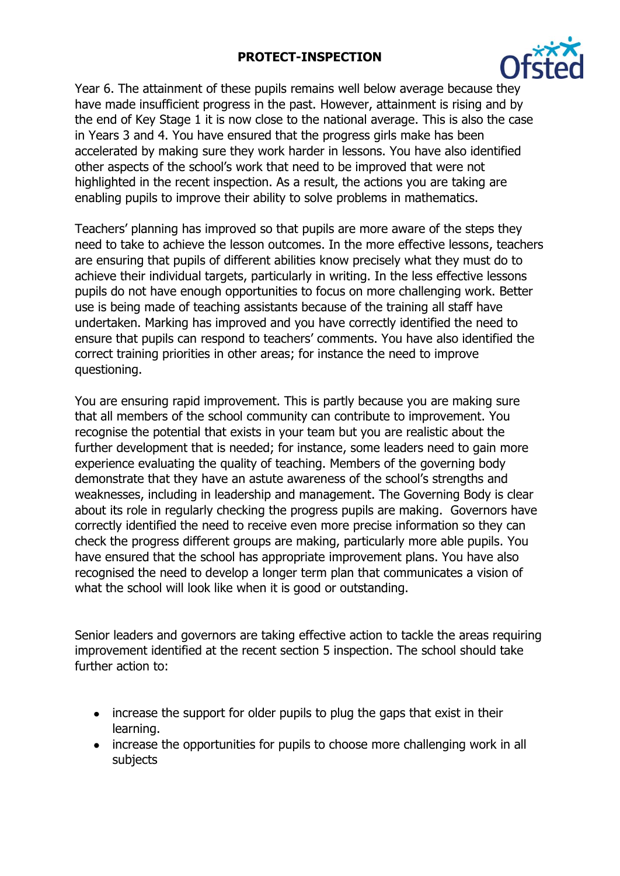# **PROTECT-INSPECTION**



Year 6. The attainment of these pupils remains well below average because they have made insufficient progress in the past. However, attainment is rising and by the end of Key Stage 1 it is now close to the national average. This is also the case in Years 3 and 4. You have ensured that the progress girls make has been accelerated by making sure they work harder in lessons. You have also identified other aspects of the school's work that need to be improved that were not highlighted in the recent inspection. As a result, the actions you are taking are enabling pupils to improve their ability to solve problems in mathematics.

Teachers' planning has improved so that pupils are more aware of the steps they need to take to achieve the lesson outcomes. In the more effective lessons, teachers are ensuring that pupils of different abilities know precisely what they must do to achieve their individual targets, particularly in writing. In the less effective lessons pupils do not have enough opportunities to focus on more challenging work. Better use is being made of teaching assistants because of the training all staff have undertaken. Marking has improved and you have correctly identified the need to ensure that pupils can respond to teachers' comments. You have also identified the correct training priorities in other areas; for instance the need to improve questioning.

You are ensuring rapid improvement. This is partly because you are making sure that all members of the school community can contribute to improvement. You recognise the potential that exists in your team but you are realistic about the further development that is needed; for instance, some leaders need to gain more experience evaluating the quality of teaching. Members of the governing body demonstrate that they have an astute awareness of the school's strengths and weaknesses, including in leadership and management. The Governing Body is clear about its role in regularly checking the progress pupils are making. Governors have correctly identified the need to receive even more precise information so they can check the progress different groups are making, particularly more able pupils. You have ensured that the school has appropriate improvement plans. You have also recognised the need to develop a longer term plan that communicates a vision of what the school will look like when it is good or outstanding.

Senior leaders and governors are taking effective action to tackle the areas requiring improvement identified at the recent section 5 inspection. The school should take further action to:

- increase the support for older pupils to plug the gaps that exist in their learning.
- increase the opportunities for pupils to choose more challenging work in all subjects